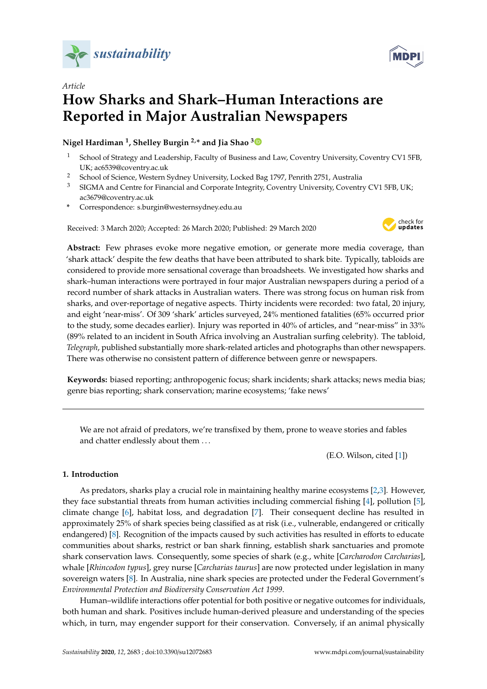

*Article*



# **How Sharks and Shark–Human Interactions are Reported in Major Australian Newspapers**

# **Nigel Hardiman <sup>1</sup> , Shelley Burgin 2,\* and Jia Shao [3](https://orcid.org/0000-0003-2256-7342)**

- <sup>1</sup> School of Strategy and Leadership, Faculty of Business and Law, Coventry University, Coventry CV1 5FB, UK; ac6539@coventry.ac.uk
- <sup>2</sup> School of Science, Western Sydney University, Locked Bag 1797, Penrith 2751, Australia
- <sup>3</sup> SIGMA and Centre for Financial and Corporate Integrity, Coventry University, Coventry CV1 5FB, UK; ac3679@coventry.ac.uk
- **\*** Correspondence: s.burgin@westernsydney.edu.au

Received: 3 March 2020; Accepted: 26 March 2020; Published: 29 March 2020



**Abstract:** Few phrases evoke more negative emotion, or generate more media coverage, than 'shark attack' despite the few deaths that have been attributed to shark bite. Typically, tabloids are considered to provide more sensational coverage than broadsheets. We investigated how sharks and shark–human interactions were portrayed in four major Australian newspapers during a period of a record number of shark attacks in Australian waters. There was strong focus on human risk from sharks, and over-reportage of negative aspects. Thirty incidents were recorded: two fatal, 20 injury, and eight 'near-miss'. Of 309 'shark' articles surveyed, 24% mentioned fatalities (65% occurred prior to the study, some decades earlier). Injury was reported in 40% of articles, and "near-miss" in 33% (89% related to an incident in South Africa involving an Australian surfing celebrity). The tabloid, *Telegraph*, published substantially more shark-related articles and photographs than other newspapers. There was otherwise no consistent pattern of difference between genre or newspapers.

**Keywords:** biased reporting; anthropogenic focus; shark incidents; shark attacks; news media bias; genre bias reporting; shark conservation; marine ecosystems; 'fake news'

We are not afraid of predators, we're transfixed by them, prone to weave stories and fables and chatter endlessly about them . . .

(E.O. Wilson, cited [\[1\]](#page-13-0))

# **1. Introduction**

As predators, sharks play a crucial role in maintaining healthy marine ecosystems [\[2](#page-13-1)[,3\]](#page-13-2). However, they face substantial threats from human activities including commercial fishing [\[4\]](#page-13-3), pollution [\[5\]](#page-13-4), climate change [\[6\]](#page-13-5), habitat loss, and degradation [\[7\]](#page-13-6). Their consequent decline has resulted in approximately 25% of shark species being classified as at risk (i.e., vulnerable, endangered or critically endangered) [\[8\]](#page-13-7). Recognition of the impacts caused by such activities has resulted in efforts to educate communities about sharks, restrict or ban shark finning, establish shark sanctuaries and promote shark conservation laws. Consequently, some species of shark (e.g., white [*Carcharodon Carcharias*], whale [*Rhincodon typus*], grey nurse [*Carcharias taurus*] are now protected under legislation in many sovereign waters [\[8\]](#page-13-7). In Australia, nine shark species are protected under the Federal Government's *Environmental Protection and Biodiversity Conservation Act 1999*.

Human–wildlife interactions offer potential for both positive or negative outcomes for individuals, both human and shark. Positives include human-derived pleasure and understanding of the species which, in turn, may engender support for their conservation. Conversely, if an animal physically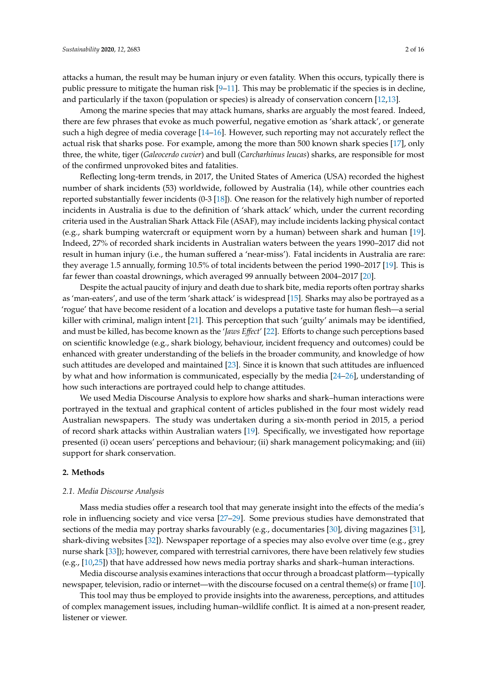attacks a human, the result may be human injury or even fatality. When this occurs, typically there is public pressure to mitigate the human risk  $[9-11]$  $[9-11]$ . This may be problematic if the species is in decline, and particularly if the taxon (population or species) is already of conservation concern [\[12,](#page-13-10)[13\]](#page-13-11).

Among the marine species that may attack humans, sharks are arguably the most feared. Indeed, there are few phrases that evoke as much powerful, negative emotion as 'shark attack', or generate such a high degree of media coverage [\[14–](#page-13-12)[16\]](#page-13-13). However, such reporting may not accurately reflect the actual risk that sharks pose. For example, among the more than 500 known shark species [\[17\]](#page-13-14), only three, the white, tiger (*Galeocerdo cuvier*) and bull (*Carcharhinus leucas*) sharks, are responsible for most of the confirmed unprovoked bites and fatalities.

Reflecting long-term trends, in 2017, the United States of America (USA) recorded the highest number of shark incidents (53) worldwide, followed by Australia (14), while other countries each reported substantially fewer incidents (0-3 [\[18\]](#page-13-15)). One reason for the relatively high number of reported incidents in Australia is due to the definition of 'shark attack' which, under the current recording criteria used in the Australian Shark Attack File (ASAF), may include incidents lacking physical contact (e.g., shark bumping watercraft or equipment worn by a human) between shark and human [\[19\]](#page-13-16). Indeed, 27% of recorded shark incidents in Australian waters between the years 1990–2017 did not result in human injury (i.e., the human suffered a 'near-miss'). Fatal incidents in Australia are rare: they average 1.5 annually, forming 10.5% of total incidents between the period 1990–2017 [\[19\]](#page-13-16). This is far fewer than coastal drownings, which averaged 99 annually between 2004–2017 [\[20\]](#page-14-0).

Despite the actual paucity of injury and death due to shark bite, media reports often portray sharks as 'man-eaters', and use of the term 'shark attack' is widespread [\[15\]](#page-13-17). Sharks may also be portrayed as a 'rogue' that have become resident of a location and develops a putative taste for human flesh—a serial killer with criminal, malign intent [\[21\]](#page-14-1). This perception that such 'guilty' animals may be identified, and must be killed, has become known as the '*Jaws E*ff*ect*' [\[22\]](#page-14-2). Efforts to change such perceptions based on scientific knowledge (e.g., shark biology, behaviour, incident frequency and outcomes) could be enhanced with greater understanding of the beliefs in the broader community, and knowledge of how such attitudes are developed and maintained [\[23\]](#page-14-3). Since it is known that such attitudes are influenced by what and how information is communicated, especially by the media [\[24](#page-14-4)[–26\]](#page-14-5), understanding of how such interactions are portrayed could help to change attitudes.

We used Media Discourse Analysis to explore how sharks and shark–human interactions were portrayed in the textual and graphical content of articles published in the four most widely read Australian newspapers. The study was undertaken during a six-month period in 2015, a period of record shark attacks within Australian waters [\[19\]](#page-13-16). Specifically, we investigated how reportage presented (i) ocean users' perceptions and behaviour; (ii) shark management policymaking; and (iii) support for shark conservation.

#### **2. Methods**

#### *2.1. Media Discourse Analysis*

Mass media studies offer a research tool that may generate insight into the effects of the media's role in influencing society and vice versa [\[27](#page-14-6)[–29\]](#page-14-7). Some previous studies have demonstrated that sections of the media may portray sharks favourably (e.g., documentaries [\[30\]](#page-14-8), diving magazines [\[31\]](#page-14-9), shark-diving websites [\[32\]](#page-14-10)). Newspaper reportage of a species may also evolve over time (e.g., grey nurse shark [\[33\]](#page-14-11)); however, compared with terrestrial carnivores, there have been relatively few studies (e.g.,  $[10,25]$  $[10,25]$ ) that have addressed how news media portray sharks and shark–human interactions.

Media discourse analysis examines interactions that occur through a broadcast platform—typically newspaper, television, radio or internet—with the discourse focused on a central theme(s) or frame [\[10\]](#page-13-18).

This tool may thus be employed to provide insights into the awareness, perceptions, and attitudes of complex management issues, including human–wildlife conflict. It is aimed at a non-present reader, listener or viewer.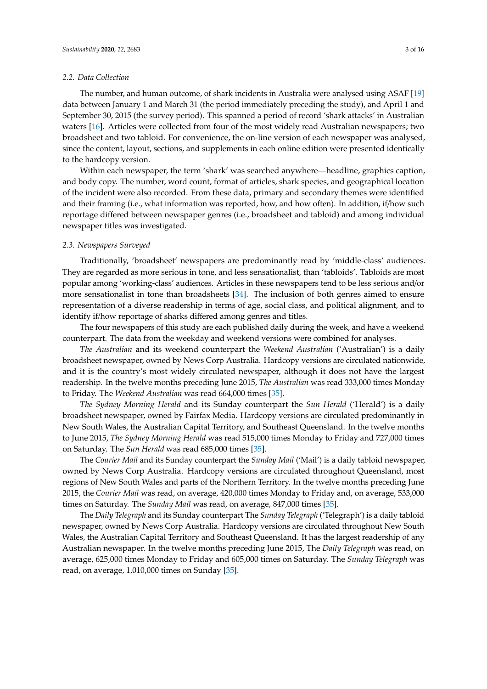#### *2.2. Data Collection*

The number, and human outcome, of shark incidents in Australia were analysed using ASAF [\[19\]](#page-13-16) data between January 1 and March 31 (the period immediately preceding the study), and April 1 and September 30, 2015 (the survey period). This spanned a period of record 'shark attacks' in Australian waters [\[16\]](#page-13-13). Articles were collected from four of the most widely read Australian newspapers; two broadsheet and two tabloid. For convenience, the on-line version of each newspaper was analysed, since the content, layout, sections, and supplements in each online edition were presented identically to the hardcopy version.

Within each newspaper, the term 'shark' was searched anywhere—headline, graphics caption, and body copy. The number, word count, format of articles, shark species, and geographical location of the incident were also recorded. From these data, primary and secondary themes were identified and their framing (i.e., what information was reported, how, and how often). In addition, if/how such reportage differed between newspaper genres (i.e., broadsheet and tabloid) and among individual newspaper titles was investigated.

# *2.3. Newspapers Surveyed*

Traditionally, 'broadsheet' newspapers are predominantly read by 'middle-class' audiences. They are regarded as more serious in tone, and less sensationalist, than 'tabloids'. Tabloids are most popular among 'working-class' audiences. Articles in these newspapers tend to be less serious and/or more sensationalist in tone than broadsheets [\[34\]](#page-14-13). The inclusion of both genres aimed to ensure representation of a diverse readership in terms of age, social class, and political alignment, and to identify if/how reportage of sharks differed among genres and titles.

The four newspapers of this study are each published daily during the week, and have a weekend counterpart. The data from the weekday and weekend versions were combined for analyses.

*The Australian* and its weekend counterpart the *Weekend Australian* ('Australian') is a daily broadsheet newspaper, owned by News Corp Australia. Hardcopy versions are circulated nationwide, and it is the country's most widely circulated newspaper, although it does not have the largest readership. In the twelve months preceding June 2015, *The Australian* was read 333,000 times Monday to Friday. The *Weekend Australian* was read 664,000 times [\[35\]](#page-14-14).

*The Sydney Morning Herald* and its Sunday counterpart the *Sun Herald* ('Herald') is a daily broadsheet newspaper, owned by Fairfax Media. Hardcopy versions are circulated predominantly in New South Wales, the Australian Capital Territory, and Southeast Queensland. In the twelve months to June 2015, *The Sydney Morning Herald* was read 515,000 times Monday to Friday and 727,000 times on Saturday. The *Sun Herald* was read 685,000 times [\[35\]](#page-14-14).

The *Courier Mail* and its Sunday counterpart the *Sunday Mail* ('Mail') is a daily tabloid newspaper, owned by News Corp Australia. Hardcopy versions are circulated throughout Queensland, most regions of New South Wales and parts of the Northern Territory. In the twelve months preceding June 2015, the *Courier Mail* was read, on average, 420,000 times Monday to Friday and, on average, 533,000 times on Saturday. The *Sunday Mail* was read, on average, 847,000 times [\[35\]](#page-14-14).

The *Daily Telegraph* and its Sunday counterpart The *Sunday Telegraph* ('Telegraph') is a daily tabloid newspaper, owned by News Corp Australia. Hardcopy versions are circulated throughout New South Wales, the Australian Capital Territory and Southeast Queensland. It has the largest readership of any Australian newspaper. In the twelve months preceding June 2015, The *Daily Telegraph* was read, on average, 625,000 times Monday to Friday and 605,000 times on Saturday. The *Sunday Telegraph* was read, on average, 1,010,000 times on Sunday [\[35\]](#page-14-14).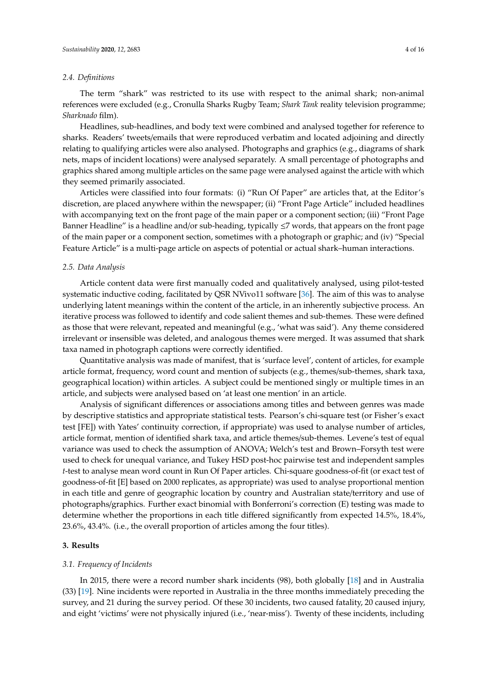#### *2.4. Definitions*

The term "shark" was restricted to its use with respect to the animal shark; non-animal references were excluded (e.g., Cronulla Sharks Rugby Team; *Shark Tank* reality television programme; *Sharknado* film).

Headlines, sub-headlines, and body text were combined and analysed together for reference to sharks. Readers' tweets/emails that were reproduced verbatim and located adjoining and directly relating to qualifying articles were also analysed. Photographs and graphics (e.g., diagrams of shark nets, maps of incident locations) were analysed separately. A small percentage of photographs and graphics shared among multiple articles on the same page were analysed against the article with which they seemed primarily associated.

Articles were classified into four formats: (i) "Run Of Paper" are articles that, at the Editor's discretion, are placed anywhere within the newspaper; (ii) "Front Page Article" included headlines with accompanying text on the front page of the main paper or a component section; (iii) "Front Page Banner Headline" is a headline and/or sub-heading, typically  $\leq$ 7 words, that appears on the front page of the main paper or a component section, sometimes with a photograph or graphic; and (iv) "Special Feature Article" is a multi-page article on aspects of potential or actual shark–human interactions.

# *2.5. Data Analysis*

Article content data were first manually coded and qualitatively analysed, using pilot-tested systematic inductive coding, facilitated by QSR NVivo11 software [\[36\]](#page-14-15). The aim of this was to analyse underlying latent meanings within the content of the article, in an inherently subjective process. An iterative process was followed to identify and code salient themes and sub-themes. These were defined as those that were relevant, repeated and meaningful (e.g., 'what was said'). Any theme considered irrelevant or insensible was deleted, and analogous themes were merged. It was assumed that shark taxa named in photograph captions were correctly identified.

Quantitative analysis was made of manifest, that is 'surface level', content of articles, for example article format, frequency, word count and mention of subjects (e.g., themes/sub-themes, shark taxa, geographical location) within articles. A subject could be mentioned singly or multiple times in an article, and subjects were analysed based on 'at least one mention' in an article.

Analysis of significant differences or associations among titles and between genres was made by descriptive statistics and appropriate statistical tests. Pearson's chi-square test (or Fisher's exact test [FE]) with Yates' continuity correction, if appropriate) was used to analyse number of articles, article format, mention of identified shark taxa, and article themes/sub-themes. Levene's test of equal variance was used to check the assumption of ANOVA; Welch's test and Brown–Forsyth test were used to check for unequal variance, and Tukey HSD post-hoc pairwise test and independent samples *t*-test to analyse mean word count in Run Of Paper articles. Chi-square goodness-of-fit (or exact test of goodness-of-fit [E] based on 2000 replicates, as appropriate) was used to analyse proportional mention in each title and genre of geographic location by country and Australian state/territory and use of photographs/graphics. Further exact binomial with Bonferroni's correction (E) testing was made to determine whether the proportions in each title differed significantly from expected 14.5%, 18.4%, 23.6%, 43.4%. (i.e., the overall proportion of articles among the four titles).

# **3. Results**

#### *3.1. Frequency of Incidents*

In 2015, there were a record number shark incidents (98), both globally [\[18\]](#page-13-15) and in Australia (33) [\[19\]](#page-13-16). Nine incidents were reported in Australia in the three months immediately preceding the survey, and 21 during the survey period. Of these 30 incidents, two caused fatality, 20 caused injury, and eight 'victims' were not physically injured (i.e., 'near-miss'). Twenty of these incidents, including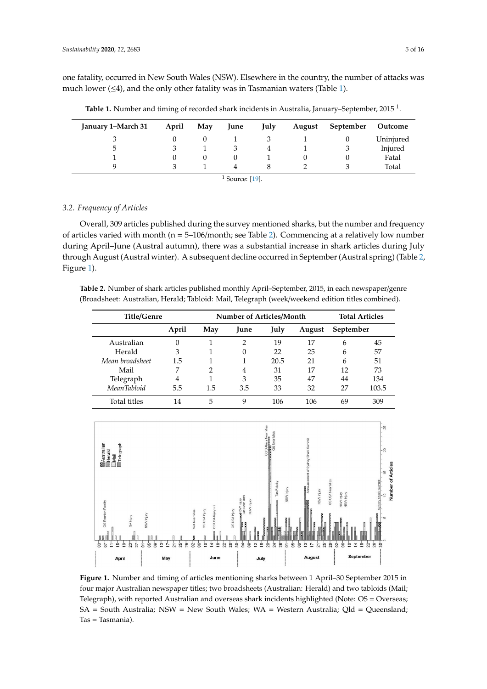one fatality, occurred in New South Wales (NSW). Elsewhere in the country, the number of attacks was much lower  $(\leq 4)$ , and the only other fatality was in Tasmanian waters (Table [1\)](#page-4-0).

<span id="page-4-0"></span>

| January 1-March 31 | April | May | June | July | August | September | Outcome   |
|--------------------|-------|-----|------|------|--------|-----------|-----------|
|                    |       |     |      |      |        | U         | Uninjured |
| 5                  |       |     |      |      |        |           | Injured   |
|                    |       |     |      |      |        |           | Fatal     |
|                    |       |     | 4    |      |        |           | Total     |
| Source: [19].      |       |     |      |      |        |           |           |

**Table 1.** Number and timing of recorded shark incidents in Australia, January–September, 2015 <sup>1</sup>.

*3.2. Frequency of Articles*

Overall, 309 articles published during the survey mentioned sharks, but the number and frequency of articles varied with month (n = 5–106/month; see Table [2\)](#page-4-1). Commencing at a relatively low number during April–June (Austral autumn), there was a substantial increase in shark articles during July through August (Austral winter). A subsequent decline occurred in September (Austral spring) (Table [2,](#page-4-1) Figure [1\)](#page-4-2).

<span id="page-4-1"></span>**Table 2.** Number of shark articles published monthly April–September, 2015, in each newspaper/genre (Broadsheet: Australian, Herald; Tabloid: Mail, Telegraph (week/weekend edition titles combined).

| <b>Title/Genre</b> |          | Number of Articles/Month |             |      |        |           | <b>Total Articles</b> |
|--------------------|----------|--------------------------|-------------|------|--------|-----------|-----------------------|
|                    | April    | May                      | <b>Iune</b> | July | August | September |                       |
| Australian         | $\Omega$ |                          | 2           | 19   | 17     | 6         | 45                    |
| Herald             | 3        |                          | 0           | 22   | 25     | 6         | 57                    |
| Mean broadsheet    | 1.5      |                          |             | 20.5 | 21     | 6         | 51                    |
| Mail               |          | 2                        | 4           | 31   | 17     | 12        | 73                    |
| Telegraph          | 4        | 1                        | 3           | 35   | 47     | 44        | 134                   |
| <b>MeanTabloid</b> | 5.5      | 1.5                      | 3.5         | 33   | 32     | 27        | 103.5                 |
| Total titles       | 14       | 5                        | 9           | 106  | 106    | 69        | 309                   |

<span id="page-4-2"></span>

**Figure 1.** Number and timing of articles mentioning sharks between 1 April–30 September 2015 in four major Australian newspaper titles; two broadsheets (Australian: Herald) and two tabloids (Mail; Telegraph), with reported Australian and overseas shark incidents highlighted (Note: OS = Overseas; Telegraph), with reported Australian and overseas shark incidents highlighted (Note: OS = Overseas; SA = South Australia; NSW = New South Wales; WA = Western Australia; Qld = Queensland; Tas = Tasmania).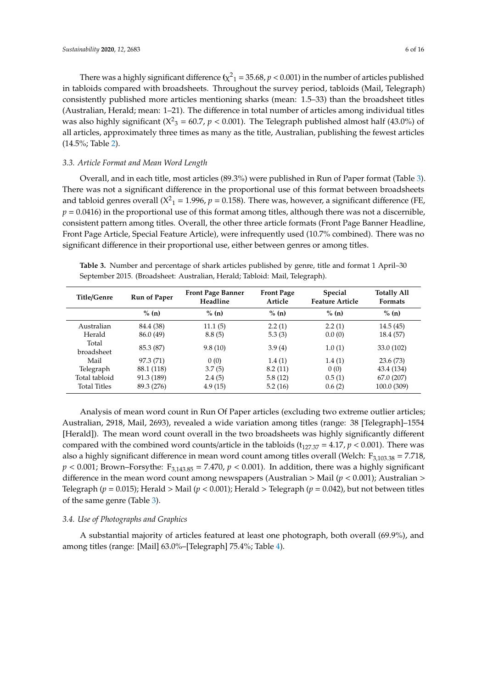There was a highly significant difference ( $\chi^2$ <sub>1</sub> = 35.68,  $p$  < 0.001) in the number of articles published in tabloids compared with broadsheets. Throughout the survey period, tabloids (Mail, Telegraph) consistently published more articles mentioning sharks (mean: 1.5–33) than the broadsheet titles (Australian, Herald; mean: 1–21). The difference in total number of articles among individual titles was also highly significant ( $X^2$ <sub>3</sub> = 60.7, *p* < 0.001). The Telegraph published almost half (43.0%) of all articles, approximately three times as many as the title, Australian, publishing the fewest articles (14.5%; Table [2\)](#page-4-1).

# *3.3. Article Format and Mean Word Length*

Overall, and in each title, most articles (89.3%) were published in Run of Paper format (Table [3\)](#page-5-0). There was not a significant difference in the proportional use of this format between broadsheets and tabloid genres overall ( $X^2$ <sub>1</sub> = 1.996,  $p$  = 0.158). There was, however, a significant difference (FE,  $p = 0.0416$ ) in the proportional use of this format among titles, although there was not a discernible, consistent pattern among titles. Overall, the other three article formats (Front Page Banner Headline, Front Page Article, Special Feature Article), were infrequently used (10.7% combined). There was no significant difference in their proportional use, either between genres or among titles.

<span id="page-5-0"></span>**Table 3.** Number and percentage of shark articles published by genre, title and format 1 April–30 September 2015. (Broadsheet: Australian, Herald; Tabloid: Mail, Telegraph).

| Title/Genre         | <b>Run of Paper</b> | <b>Front Page Banner</b><br>Headline | <b>Front Page</b><br>Article | <b>Special</b><br><b>Feature Article</b> | <b>Totally All</b><br><b>Formats</b> |
|---------------------|---------------------|--------------------------------------|------------------------------|------------------------------------------|--------------------------------------|
|                     | % (n)               | % (n)                                | $\%$ (n)                     | % (n)                                    | % (n)                                |
| Australian          | 84.4 (38)           | 11.1(5)                              | 2.2(1)                       | 2.2(1)                                   | 14.5(45)                             |
| Herald              | 86.0 (49)           | 8.8(5)                               | 5.3(3)                       | 0.0(0)                                   | 18.4 (57)                            |
| Total<br>broadsheet | 85.3 (87)           | 9.8(10)                              | 3.9(4)                       | 1.0(1)                                   | 33.0 (102)                           |
| Mail                | 97.3 (71)           | 0(0)                                 | 1.4(1)                       | 1.4(1)                                   | 23.6(73)                             |
| Telegraph           | 88.1 (118)          | 3.7(5)                               | 8.2(11)                      | 0(0)                                     | 43.4 (134)                           |
| Total tabloid       | 91.3 (189)          | 2.4(5)                               | 5.8(12)                      | 0.5(1)                                   | 67.0(207)                            |
| <b>Total Titles</b> | 89.3 (276)          | 4.9(15)                              | 5.2(16)                      | 0.6(2)                                   | 100.0 (309)                          |

Analysis of mean word count in Run Of Paper articles (excluding two extreme outlier articles; Australian, 2918, Mail, 2693), revealed a wide variation among titles (range: 38 [Telegraph]–1554 [Herald]). The mean word count overall in the two broadsheets was highly significantly different compared with the combined word counts/article in the tabloids ( $t_{127,37} = 4.17$ ,  $p < 0.001$ ). There was also a highly significant difference in mean word count among titles overall (Welch:  $F_{3,103,38} = 7.718$ ,  $p < 0.001$ ; Brown–Forsythe: F<sub>3,143.85</sub> = 7.470,  $p < 0.001$ ). In addition, there was a highly significant difference in the mean word count among newspapers (Australian > Mail (*p* < 0.001); Australian > Telegraph ( $p = 0.015$ ); Herald > Mail ( $p < 0.001$ ); Herald > Telegraph ( $p = 0.042$ ), but not between titles of the same genre (Table [3\)](#page-5-0).

# *3.4. Use of Photographs and Graphics*

A substantial majority of articles featured at least one photograph, both overall (69.9%), and among titles (range: [Mail] 63.0%–[Telegraph] 75.4%; Table [4\)](#page-6-0).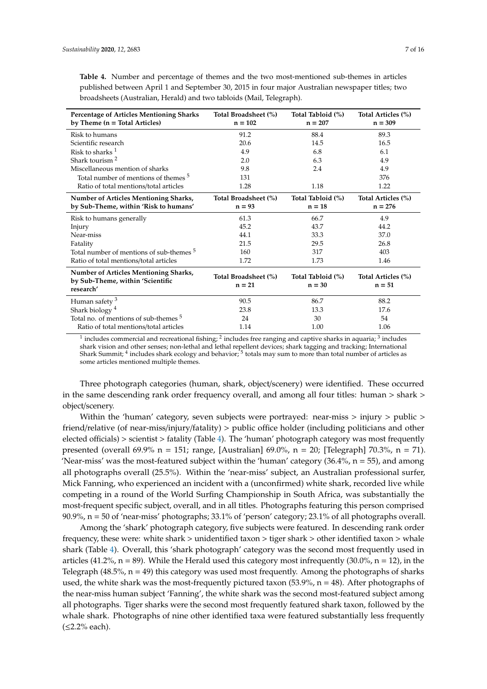<span id="page-6-0"></span>**Table 4.** Number and percentage of themes and the two most-mentioned sub-themes in articles published between April 1 and September 30, 2015 in four major Australian newspaper titles; two broadsheets (Australian, Herald) and two tabloids (Mail, Telegraph).

| <b>Percentage of Articles Mentioning Sharks</b><br>by Theme $(n = Total Articles)$ | Total Broadsheet (%)<br>$n = 102$ | Total Tabloid (%)<br>$n = 207$ | Total Articles (%)<br>$n = 309$ |
|------------------------------------------------------------------------------------|-----------------------------------|--------------------------------|---------------------------------|
| Risk to humans                                                                     | 91.2                              | 88.4                           | 89.3                            |
| Scientific research                                                                | 20.6                              | 14.5                           | 16.5                            |
| Risk to sharks $1$                                                                 | 4.9                               | 6.8                            | 6.1                             |
| Shark tourism $2$                                                                  | 2.0                               | 6.3                            | 4.9                             |
| Miscellaneous mention of sharks                                                    | 9.8                               | 2.4                            | 4.9                             |
| Total number of mentions of themes <sup>5</sup>                                    | 131                               |                                | 376                             |
| Ratio of total mentions/total articles                                             | 1.28                              | 1.18                           | 1.22                            |
| Number of Articles Mentioning Sharks,                                              | Total Broadsheet (%)              | Total Tabloid (%)              | Total Articles (%)              |
| by Sub-Theme, within 'Risk to humans'                                              | $n = 93$                          | $n = 18$                       | $n = 276$                       |
| Risk to humans generally                                                           | 61.3                              | 66.7                           | 4.9                             |
| Injury                                                                             | 45.2                              | 43.7                           | 44.2                            |
| Near-miss                                                                          | 44.1                              | 33.3                           | 37.0                            |
| Fatality                                                                           | 21.5                              | 29.5                           | 26.8                            |
| Total number of mentions of sub-themes <sup>5</sup>                                | 160                               | 317                            | 403                             |
| Ratio of total mentions/total articles                                             | 1.72                              | 1.73                           | 1.46                            |
| Number of Articles Mentioning Sharks,<br>by Sub-Theme, within 'Scientific          | Total Broadsheet (%)<br>$n = 21$  | Total Tabloid (%)<br>$n = 30$  | Total Articles (%)<br>$n = 51$  |
| research'                                                                          |                                   |                                |                                 |
| Human safety $3$                                                                   | 90.5                              | 86.7                           | 88.2                            |
| Shark biology <sup>4</sup>                                                         | 23.8                              | 13.3                           | 17.6                            |
| Total no. of mentions of sub-themes <sup>5</sup>                                   | 24                                | 30                             | 54                              |
| Ratio of total mentions/total articles                                             | 1.14                              | 1.00                           | 1.06                            |

 $^1$  includes commercial and recreational fishing;  $^2$  includes free ranging and captive sharks in aquaria;  $^3$  includes shark vision and other senses; non-lethal and lethal repellent devices; shark tagging and tracking; International Shark Summit; <sup>4</sup> includes shark ecology and behavior; <sup>5</sup> totals may sum to more than total number of articles as some articles mentioned multiple themes.

Three photograph categories (human, shark, object/scenery) were identified. These occurred in the same descending rank order frequency overall, and among all four titles: human > shark > object/scenery.

Within the 'human' category, seven subjects were portrayed: near-miss  $>$  injury  $>$  public  $>$ friend/relative (of near-miss/injury/fatality) > public office holder (including politicians and other elected officials) > scientist > fatality (Table [4\)](#page-6-0). The 'human' photograph category was most frequently presented (overall 69.9% n = 151; range, [Australian] 69.0%, n = 20; [Telegraph] 70.3%, n = 71). 'Near-miss' was the most-featured subject within the 'human' category  $(36.4\%$ ,  $n = 55)$ , and among all photographs overall (25.5%). Within the 'near-miss' subject, an Australian professional surfer, Mick Fanning, who experienced an incident with a (unconfirmed) white shark, recorded live while competing in a round of the World Surfing Championship in South Africa, was substantially the most-frequent specific subject, overall, and in all titles. Photographs featuring this person comprised 90.9%, n = 50 of 'near-miss' photographs; 33.1% of 'person' category; 23.1% of all photographs overall.

Among the 'shark' photograph category, five subjects were featured. In descending rank order frequency, these were: white shark > unidentified taxon > tiger shark > other identified taxon > whale shark (Table [4\)](#page-6-0). Overall, this 'shark photograph' category was the second most frequently used in articles (41.2%,  $n = 89$ ). While the Herald used this category most infrequently (30.0%,  $n = 12$ ), in the Telegraph (48.5%,  $n = 49$ ) this category was used most frequently. Among the photographs of sharks used, the white shark was the most-frequently pictured taxon  $(53.9\%, n = 48)$ . After photographs of the near-miss human subject 'Fanning', the white shark was the second most-featured subject among all photographs. Tiger sharks were the second most frequently featured shark taxon, followed by the whale shark. Photographs of nine other identified taxa were featured substantially less frequently (≤2.2% each).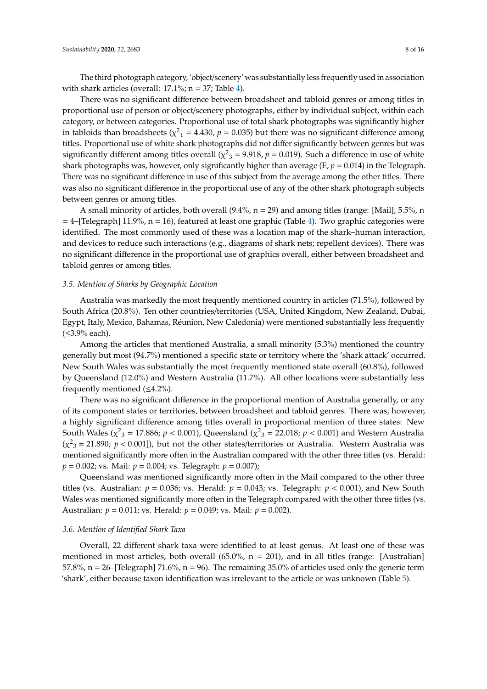The third photograph category, 'object/scenery' was substantially less frequently used in association with shark articles (overall:  $17.1\%$ ;  $n = 37$ ; Table [4\)](#page-6-0).

There was no significant difference between broadsheet and tabloid genres or among titles in proportional use of person or object/scenery photographs, either by individual subject, within each category, or between categories. Proportional use of total shark photographs was significantly higher in tabloids than broadsheets ( $\chi^2$ <sub>1</sub> = 4.430, *p* = 0.035) but there was no significant difference among titles. Proportional use of white shark photographs did not differ significantly between genres but was significantly different among titles overall ( $\chi^2$ <sub>3</sub> = 9.918, *p* = 0.019). Such a difference in use of white shark photographs was, however, only significantly higher than average  $(E, p = 0.014)$  in the Telegraph. There was no significant difference in use of this subject from the average among the other titles. There was also no significant difference in the proportional use of any of the other shark photograph subjects between genres or among titles.

A small minority of articles, both overall  $(9.4\%, n = 29)$  and among titles (range: [Mail], 5.5%, n  $=$  4–[Telegraph] 11.9%, n = 16), featured at least one graphic (Table [4\)](#page-6-0). Two graphic categories were identified. The most commonly used of these was a location map of the shark–human interaction, and devices to reduce such interactions (e.g., diagrams of shark nets; repellent devices). There was no significant difference in the proportional use of graphics overall, either between broadsheet and tabloid genres or among titles.

# *3.5. Mention of Sharks by Geographic Location*

Australia was markedly the most frequently mentioned country in articles (71.5%), followed by South Africa (20.8%). Ten other countries/territories (USA, United Kingdom, New Zealand, Dubai, Egypt, Italy, Mexico, Bahamas, Réunion, New Caledonia) were mentioned substantially less frequently (≤3.9% each).

Among the articles that mentioned Australia, a small minority (5.3%) mentioned the country generally but most (94.7%) mentioned a specific state or territory where the 'shark attack' occurred. New South Wales was substantially the most frequently mentioned state overall (60.8%), followed by Queensland (12.0%) and Western Australia (11.7%). All other locations were substantially less frequently mentioned (≤4.2%).

There was no significant difference in the proportional mention of Australia generally, or any of its component states or territories, between broadsheet and tabloid genres. There was, however, a highly significant difference among titles overall in proportional mention of three states: New South Wales ( $\chi^2$ <sub>3</sub> = 17.886; *p* < 0.001), Queensland ( $\chi^2$ <sub>3</sub> = 22.018; *p* < 0.001) and Western Australia  $(\chi^2$ <sub>3</sub> = 21.890;  $p < 0.001$ ]), but not the other states/territories or Australia. Western Australia was mentioned significantly more often in the Australian compared with the other three titles (vs. Herald: *p* = 0.002; vs. Mail: *p* = 0.004; vs. Telegraph: *p* = 0.007);

Queensland was mentioned significantly more often in the Mail compared to the other three titles (vs. Australian:  $p = 0.036$ ; vs. Herald:  $p = 0.043$ ; vs. Telegraph:  $p < 0.001$ ), and New South Wales was mentioned significantly more often in the Telegraph compared with the other three titles (vs. Australian: *p* = 0.011; vs. Herald: *p* = 0.049; vs. Mail: *p* = 0.002).

#### *3.6. Mention of Identified Shark Taxa*

Overall, 22 different shark taxa were identified to at least genus. At least one of these was mentioned in most articles, both overall  $(65.0\%$ ,  $n = 201$ ), and in all titles (range: [Australian] 57.8%,  $n = 26$ –[Telegraph] 71.6%,  $n = 96$ ). The remaining 35.0% of articles used only the generic term 'shark', either because taxon identification was irrelevant to the article or was unknown (Table [5\)](#page-8-0).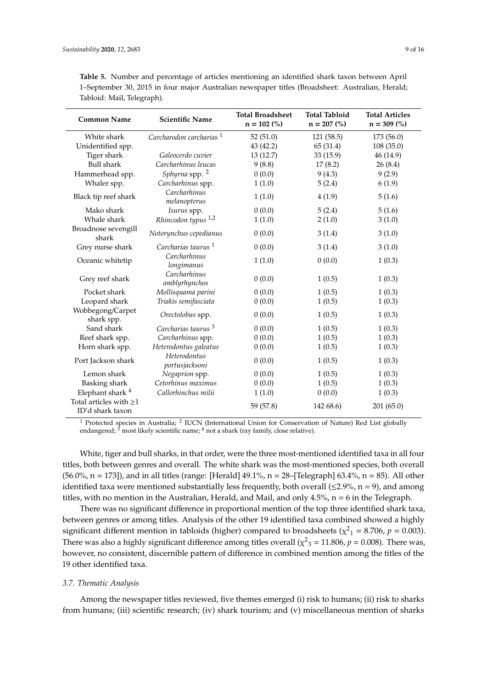| <b>Common Name</b>                               | <b>Scientific Name</b>              | <b>Total Broadsheet</b><br>$n = 102$ (%) | <b>Total Tabloid</b><br>$n = 207$ (%) | <b>Total Articles</b><br>$n = 309\ (%)$ |
|--------------------------------------------------|-------------------------------------|------------------------------------------|---------------------------------------|-----------------------------------------|
|                                                  |                                     |                                          |                                       |                                         |
| White shark                                      | Carcharodon carcharias <sup>1</sup> | 52(51.0)                                 | 121 (58.5)                            | 173 (56.0)                              |
| Unidentified spp.                                |                                     | 43 (42.2)                                | 65 (31.4)                             | 108(35.0)                               |
| Tiger shark                                      | Galeocerdo cuvier                   | 13(12.7)                                 | 33(15.9)                              | 46 (14.9)                               |
| <b>Bull shark</b>                                | Carcharhinus leucas                 | 9(8.8)                                   | 17(8.2)                               | 26(8.4)                                 |
| Hammerhead spp.                                  | Sphyrna spp. <sup>2</sup>           | 0(0.0)                                   | 9(4.3)                                | 9(2.9)                                  |
| Whaler spp.                                      | Carcharhinus spp.                   | 1(1.0)                                   | 5(2.4)                                | 6(1.9)                                  |
| Black tip reef shark                             | Carcharhinus<br>melanopterus        | 1(1.0)                                   | 4(1.9)                                | 5(1.6)                                  |
| Mako shark                                       | Isurus spp.                         | 0(0.0)                                   | 5(2.4)                                | 5(1.6)                                  |
| Whale shark                                      | Rhincodon typus <sup>1,2</sup>      | 1(1.0)                                   | 2(1.0)                                | 3(1.0)                                  |
| Broadnose sevengill<br>shark                     | Notorynchus cepedianus              | 0(0.0)                                   | 3(1.4)                                | 3(1.0)                                  |
| Grey nurse shark                                 | Carcharias taurus <sup>1</sup>      | 0(0.0)                                   | 3(1.4)                                | 3(1.0)                                  |
| Oceanic whitetip                                 | Carcharhinus<br>longimanus          | 1(1.0)                                   | 0(0.0)                                | 1(0.3)                                  |
| Grey reef shark                                  | Carcharhinus<br>amblyrhynchos       | 0(0.0)                                   | 1(0.5)                                | 1(0.3)                                  |
| Pocket shark                                     | Mollisquama parini                  | 0(0.0)                                   | 1(0.5)                                | 1(0.3)                                  |
| Leopard shark                                    | Triakis semifasciata                | 0(0.0)                                   | 1(0.5)                                | 1(0.3)                                  |
| Wobbegong/Carpet<br>shark spp.                   | Orectolobus spp.                    | 0(0.0)                                   | 1(0.5)                                | 1(0.3)                                  |
| Sand shark                                       | Carcharias taurus <sup>3</sup>      | 0(0.0)                                   | 1(0.5)                                | 1(0.3)                                  |
| Reef shark spp.                                  | Carcharhinus spp.                   | 0(0.0)                                   | 1(0.5)                                | 1(0.3)                                  |
| Horn shark spp.                                  | Heterodontus galeatus               | 0(0.0)                                   | 1(0.5)                                | 1(0.3)                                  |
| Port Jackson shark                               | Heterodontus<br>portusjacksoni      | 0(0.0)                                   | 1(0.5)                                | 1(0.3)                                  |
| Lemon shark                                      | Negaprion spp.                      | 0(0.0)                                   | 1(0.5)                                | 1(0.3)                                  |
| Basking shark                                    | Cetorhinus maximus                  | 0(0.0)                                   | 1(0.5)                                | 1(0.3)                                  |
| Elephant shark <sup>4</sup>                      | Callorhinchus milii                 | 1(1.0)                                   | 0(0.0)                                | 1(0.3)                                  |
| Total articles with $\geq$ 1<br>ID'd shark taxon |                                     | 59 (57.8)                                | 142 68.6)                             | 201(65.0)                               |

<span id="page-8-0"></span>**Table 5.** Number and percentage of articles mentioning an identified shark taxon between April 1–September 30, 2015 in four major Australian newspaper titles (Broadsheet: Australian, Herald; Tabloid: Mail, Telegraph).

<sup>1</sup> Protected species in Australia; <sup>2</sup> IUCN (International Union for Conservation of Nature) Red List globally endangered;  $\frac{3}{7}$  most likely scientific name;  $\frac{4}{7}$  not a shark (ray family, close relative).

White, tiger and bull sharks, in that order, were the three most-mentioned identified taxa in all four titles, both between genres and overall. The white shark was the most-mentioned species, both overall  $(56.0\%, n = 173]$ ), and in all titles (range: [Herald]  $49.1\%, n = 28$  [Telegraph]  $63.4\%, n = 85$ ). All other identified taxa were mentioned substantially less frequently, both overall ( $\leq$ 2.9%, n = 9), and among titles, with no mention in the Australian, Herald, and Mail, and only  $4.5\%$ ,  $n = 6$  in the Telegraph.

There was no significant difference in proportional mention of the top three identified shark taxa, between genres or among titles. Analysis of the other 19 identified taxa combined showed a highly significant different mention in tabloids (higher) compared to broadsheets ( $\chi^2$ <sub>1</sub> = 8.706, *p* = 0.003). There was also a highly significant difference among titles overall ( $\chi^2$ <sub>3</sub> = 11.806, *p* = 0.008). There was, however, no consistent, discernible pattern of difference in combined mention among the titles of the 19 other identified taxa.

#### *3.7. Thematic Analysis*

Among the newspaper titles reviewed, five themes emerged (i) risk to humans; (ii) risk to sharks from humans; (iii) scientific research; (iv) shark tourism; and (v) miscellaneous mention of sharks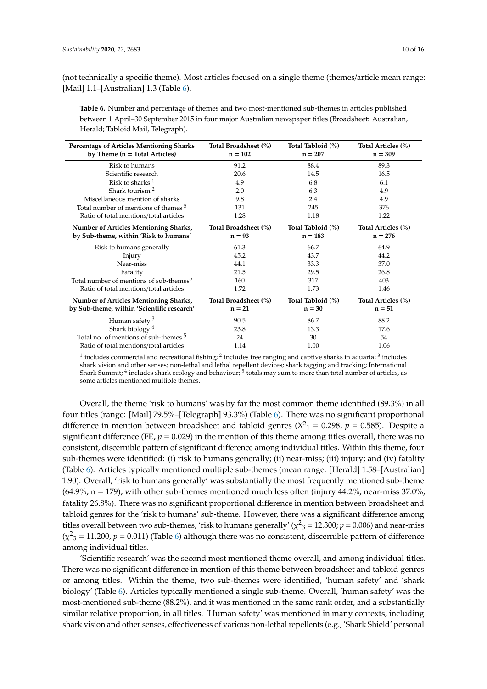(not technically a specific theme). Most articles focused on a single theme (themes/article mean range: [Mail] 1.1–[Australian] 1.3 (Table [6\)](#page-9-0).

<span id="page-9-0"></span>**Table 6.** Number and percentage of themes and two most-mentioned sub-themes in articles published between 1 April–30 September 2015 in four major Australian newspaper titles (Broadsheet: Australian, Herald; Tabloid Mail, Telegraph).

| <b>Percentage of Articles Mentioning Sharks</b><br>by Theme $(n = Total Articles)$ | Total Broadsheet (%)<br>$n = 102$ | Total Tabloid (%)<br>$n = 207$ | Total Articles (%)<br>$n = 309$ |
|------------------------------------------------------------------------------------|-----------------------------------|--------------------------------|---------------------------------|
| Risk to humans                                                                     | 91.2                              | 88.4                           | 89.3                            |
| Scientific research                                                                | 20.6                              | 14.5                           | 16.5                            |
| Risk to sharks $1$                                                                 | 4.9                               | 6.8                            | 6.1                             |
| Shark tourism <sup>2</sup>                                                         | 2.0                               | 6.3                            | 4.9                             |
| Miscellaneous mention of sharks                                                    | 9.8                               | 2.4                            | 4.9                             |
| Total number of mentions of themes <sup>5</sup>                                    | 131                               | 245                            | 376                             |
| Ratio of total mentions/total articles                                             | 1.28                              | 1.18                           | 1.22                            |
| Number of Articles Mentioning Sharks,<br>by Sub-theme, within 'Risk to humans'     | Total Broadsheet (%)<br>$n = 93$  | Total Tabloid (%)<br>$n = 183$ | Total Articles (%)<br>$n = 276$ |
| Risk to humans generally                                                           | 61.3                              | 66.7                           | 64.9                            |
| Injury                                                                             | 45.2                              | 43.7                           | 44.2                            |
| Near-miss                                                                          | 44.1                              | 33.3                           | 37.0                            |
| Fatality                                                                           | 21.5                              | 29.5                           | 26.8                            |
| Total number of mentions of sub-themes <sup>5</sup>                                | 160                               | 317                            | 403                             |
| Ratio of total mentions/total articles                                             | 1.72                              | 1.73                           | 1.46                            |
| Number of Articles Mentioning Sharks,                                              | Total Broadsheet (%)              | Total Tabloid (%)              | Total Articles (%)              |
| by Sub-theme, within 'Scientific research'                                         | $n = 21$                          | $n = 30$                       | $n = 51$                        |
| Human safety $3$                                                                   | 90.5                              | 86.7                           | 88.2                            |
| Shark biology <sup>4</sup>                                                         | 23.8                              | 13.3                           | 17.6                            |
| Total no. of mentions of sub-themes <sup>5</sup>                                   | 24                                | 30                             | 54                              |
| Ratio of total mentions/total articles                                             | 1.14                              | 1.00                           | 1.06                            |

 $^1$  includes commercial and recreational fishing;  $^2$  includes free ranging and captive sharks in aquaria;  $^3$  includes shark vision and other senses; non-lethal and lethal repellent devices; shark tagging and tracking; International Shark Summit;  $^4$  includes shark ecology and behaviour;  $^5$  totals may sum to more than total number of articles, as some articles mentioned multiple themes.

Overall, the theme 'risk to humans' was by far the most common theme identified (89.3%) in all four titles (range: [Mail] 79.5%–[Telegraph] 93.3%) (Table [6\)](#page-9-0). There was no significant proportional difference in mention between broadsheet and tabloid genres ( $X^2$ <sub>1</sub> = 0.298,  $p$  = 0.585). Despite a significant difference (FE,  $p = 0.029$ ) in the mention of this theme among titles overall, there was no consistent, discernible pattern of significant difference among individual titles. Within this theme, four sub-themes were identified: (i) risk to humans generally; (ii) near-miss; (iii) injury; and (iv) fatality (Table [6\)](#page-9-0). Articles typically mentioned multiple sub-themes (mean range: [Herald] 1.58–[Australian] 1.90). Overall, 'risk to humans generally' was substantially the most frequently mentioned sub-theme  $(64.9\%$ , n = 179), with other sub-themes mentioned much less often (injury  $44.2\%$ ; near-miss 37.0%; fatality 26.8%). There was no significant proportional difference in mention between broadsheet and tabloid genres for the 'risk to humans' sub-theme. However, there was a significant difference among titles overall between two sub-themes, 'risk to humans generally' ( $\chi^2$ <sub>3</sub> = 12.300;  $p$  = 0.006) and near-miss  $(\chi^2$ <sub>3</sub> = 11.200,  $p$  = 0.011) (Table [6\)](#page-9-0) although there was no consistent, discernible pattern of difference among individual titles.

'Scientific research' was the second most mentioned theme overall, and among individual titles. There was no significant difference in mention of this theme between broadsheet and tabloid genres or among titles. Within the theme, two sub-themes were identified, 'human safety' and 'shark biology' (Table [6\)](#page-9-0). Articles typically mentioned a single sub-theme. Overall, 'human safety' was the most-mentioned sub-theme (88.2%), and it was mentioned in the same rank order, and a substantially similar relative proportion, in all titles. 'Human safety' was mentioned in many contexts, including shark vision and other senses, effectiveness of various non-lethal repellents (e.g., 'Shark Shield' personal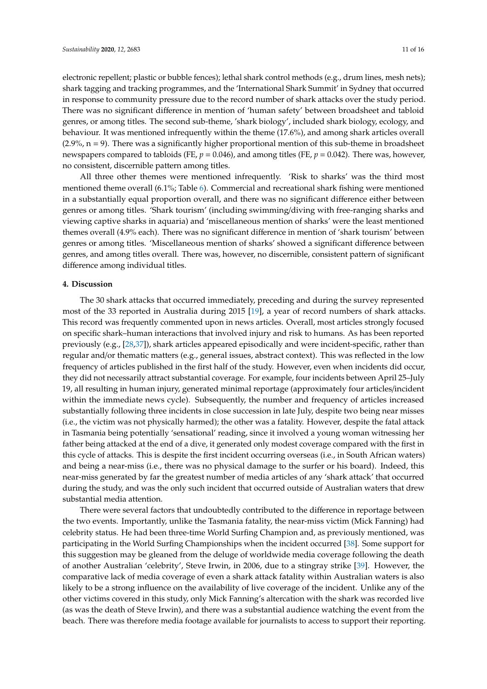electronic repellent; plastic or bubble fences); lethal shark control methods (e.g., drum lines, mesh nets); shark tagging and tracking programmes, and the 'International Shark Summit' in Sydney that occurred in response to community pressure due to the record number of shark attacks over the study period. There was no significant difference in mention of 'human safety' between broadsheet and tabloid genres, or among titles. The second sub-theme, 'shark biology', included shark biology, ecology, and behaviour. It was mentioned infrequently within the theme (17.6%), and among shark articles overall  $(2.9\%, n = 9)$ . There was a significantly higher proportional mention of this sub-theme in broadsheet newspapers compared to tabloids (FE, *p* = 0.046), and among titles (FE, *p* = 0.042). There was, however, no consistent, discernible pattern among titles.

All three other themes were mentioned infrequently. 'Risk to sharks' was the third most mentioned theme overall (6.1%; Table [6\)](#page-9-0). Commercial and recreational shark fishing were mentioned in a substantially equal proportion overall, and there was no significant difference either between genres or among titles. 'Shark tourism' (including swimming/diving with free-ranging sharks and viewing captive sharks in aquaria) and 'miscellaneous mention of sharks' were the least mentioned themes overall (4.9% each). There was no significant difference in mention of 'shark tourism' between genres or among titles. 'Miscellaneous mention of sharks' showed a significant difference between genres, and among titles overall. There was, however, no discernible, consistent pattern of significant difference among individual titles.

#### **4. Discussion**

The 30 shark attacks that occurred immediately, preceding and during the survey represented most of the 33 reported in Australia during 2015 [\[19\]](#page-13-16), a year of record numbers of shark attacks. This record was frequently commented upon in news articles. Overall, most articles strongly focused on specific shark–human interactions that involved injury and risk to humans. As has been reported previously (e.g., [\[28,](#page-14-16)[37\]](#page-14-17)), shark articles appeared episodically and were incident-specific, rather than regular and/or thematic matters (e.g., general issues, abstract context). This was reflected in the low frequency of articles published in the first half of the study. However, even when incidents did occur, they did not necessarily attract substantial coverage. For example, four incidents between April 25–July 19, all resulting in human injury, generated minimal reportage (approximately four articles/incident within the immediate news cycle). Subsequently, the number and frequency of articles increased substantially following three incidents in close succession in late July, despite two being near misses (i.e., the victim was not physically harmed); the other was a fatality. However, despite the fatal attack in Tasmania being potentially 'sensational' reading, since it involved a young woman witnessing her father being attacked at the end of a dive, it generated only modest coverage compared with the first in this cycle of attacks. This is despite the first incident occurring overseas (i.e., in South African waters) and being a near-miss (i.e., there was no physical damage to the surfer or his board). Indeed, this near-miss generated by far the greatest number of media articles of any 'shark attack' that occurred during the study, and was the only such incident that occurred outside of Australian waters that drew substantial media attention.

There were several factors that undoubtedly contributed to the difference in reportage between the two events. Importantly, unlike the Tasmania fatality, the near-miss victim (Mick Fanning) had celebrity status. He had been three-time World Surfing Champion and, as previously mentioned, was participating in the World Surfing Championships when the incident occurred [\[38\]](#page-14-18). Some support for this suggestion may be gleaned from the deluge of worldwide media coverage following the death of another Australian 'celebrity', Steve Irwin, in 2006, due to a stingray strike [\[39\]](#page-14-19). However, the comparative lack of media coverage of even a shark attack fatality within Australian waters is also likely to be a strong influence on the availability of live coverage of the incident. Unlike any of the other victims covered in this study, only Mick Fanning's altercation with the shark was recorded live (as was the death of Steve Irwin), and there was a substantial audience watching the event from the beach. There was therefore media footage available for journalists to access to support their reporting.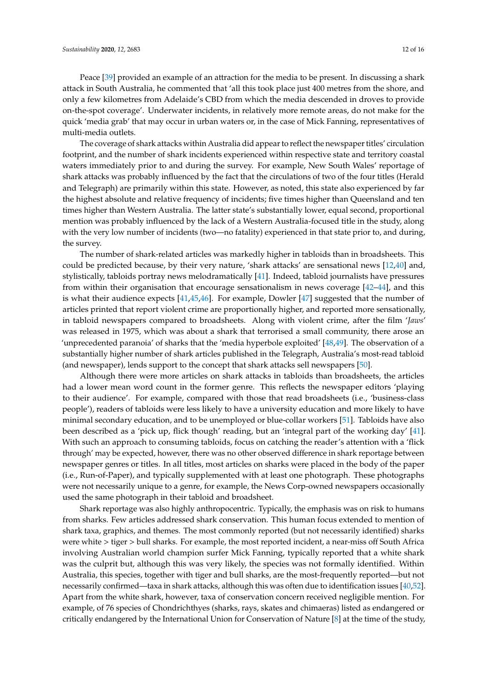Peace [\[39\]](#page-14-19) provided an example of an attraction for the media to be present. In discussing a shark attack in South Australia, he commented that 'all this took place just 400 metres from the shore, and only a few kilometres from Adelaide's CBD from which the media descended in droves to provide on-the-spot coverage'. Underwater incidents, in relatively more remote areas, do not make for the quick 'media grab' that may occur in urban waters or, in the case of Mick Fanning, representatives of multi-media outlets.

The coverage of shark attacks within Australia did appear to reflect the newspaper titles' circulation footprint, and the number of shark incidents experienced within respective state and territory coastal waters immediately prior to and during the survey. For example, New South Wales' reportage of shark attacks was probably influenced by the fact that the circulations of two of the four titles (Herald and Telegraph) are primarily within this state. However, as noted, this state also experienced by far the highest absolute and relative frequency of incidents; five times higher than Queensland and ten times higher than Western Australia. The latter state's substantially lower, equal second, proportional mention was probably influenced by the lack of a Western Australia-focused title in the study, along with the very low number of incidents (two—no fatality) experienced in that state prior to, and during, the survey.

The number of shark-related articles was markedly higher in tabloids than in broadsheets. This could be predicted because, by their very nature, 'shark attacks' are sensational news [\[12,](#page-13-10)[40\]](#page-14-20) and, stylistically, tabloids portray news melodramatically [\[41\]](#page-14-21). Indeed, tabloid journalists have pressures from within their organisation that encourage sensationalism in news coverage [\[42–](#page-14-22)[44\]](#page-14-23), and this is what their audience expects [\[41,](#page-14-21)[45,](#page-14-24)[46\]](#page-14-25). For example, Dowler [\[47\]](#page-15-0) suggested that the number of articles printed that report violent crime are proportionally higher, and reported more sensationally, in tabloid newspapers compared to broadsheets. Along with violent crime, after the film '*Jaws*' was released in 1975, which was about a shark that terrorised a small community, there arose an 'unprecedented paranoia' of sharks that the 'media hyperbole exploited' [\[48,](#page-15-1)[49\]](#page-15-2). The observation of a substantially higher number of shark articles published in the Telegraph, Australia's most-read tabloid (and newspaper), lends support to the concept that shark attacks sell newspapers [\[50\]](#page-15-3).

Although there were more articles on shark attacks in tabloids than broadsheets, the articles had a lower mean word count in the former genre. This reflects the newspaper editors 'playing to their audience'. For example, compared with those that read broadsheets (i.e., 'business-class people'), readers of tabloids were less likely to have a university education and more likely to have minimal secondary education, and to be unemployed or blue-collar workers [\[51\]](#page-15-4). Tabloids have also been described as a 'pick up, flick though' reading, but an 'integral part of the working day' [\[41\]](#page-14-21). With such an approach to consuming tabloids, focus on catching the reader's attention with a 'flick through' may be expected, however, there was no other observed difference in shark reportage between newspaper genres or titles. In all titles, most articles on sharks were placed in the body of the paper (i.e., Run-of-Paper), and typically supplemented with at least one photograph. These photographs were not necessarily unique to a genre, for example, the News Corp-owned newspapers occasionally used the same photograph in their tabloid and broadsheet.

Shark reportage was also highly anthropocentric. Typically, the emphasis was on risk to humans from sharks. Few articles addressed shark conservation. This human focus extended to mention of shark taxa, graphics, and themes. The most commonly reported (but not necessarily identified) sharks were white > tiger > bull sharks. For example, the most reported incident, a near-miss off South Africa involving Australian world champion surfer Mick Fanning, typically reported that a white shark was the culprit but, although this was very likely, the species was not formally identified. Within Australia, this species, together with tiger and bull sharks, are the most-frequently reported—but not necessarily confirmed—taxa in shark attacks, although this was often due to identification issues [\[40](#page-14-20)[,52\]](#page-15-5). Apart from the white shark, however, taxa of conservation concern received negligible mention. For example, of 76 species of Chondrichthyes (sharks, rays, skates and chimaeras) listed as endangered or critically endangered by the International Union for Conservation of Nature [\[8\]](#page-13-7) at the time of the study,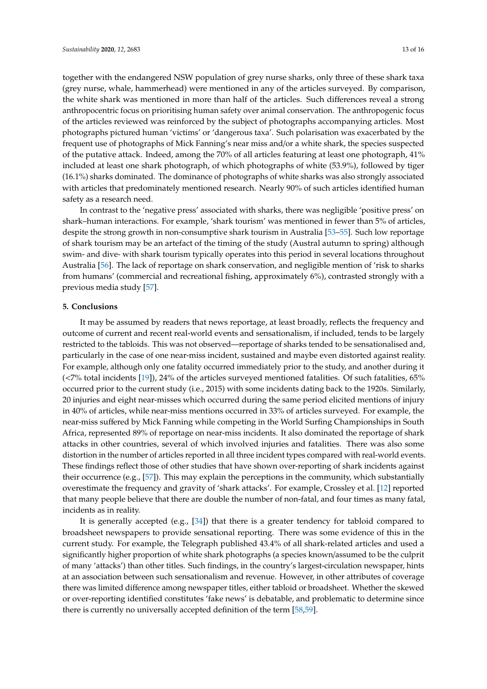together with the endangered NSW population of grey nurse sharks, only three of these shark taxa (grey nurse, whale, hammerhead) were mentioned in any of the articles surveyed. By comparison, the white shark was mentioned in more than half of the articles. Such differences reveal a strong anthropocentric focus on prioritising human safety over animal conservation. The anthropogenic focus of the articles reviewed was reinforced by the subject of photographs accompanying articles. Most photographs pictured human 'victims' or 'dangerous taxa'. Such polarisation was exacerbated by the frequent use of photographs of Mick Fanning's near miss and/or a white shark, the species suspected of the putative attack. Indeed, among the 70% of all articles featuring at least one photograph, 41% included at least one shark photograph, of which photographs of white (53.9%), followed by tiger (16.1%) sharks dominated. The dominance of photographs of white sharks was also strongly associated with articles that predominately mentioned research. Nearly 90% of such articles identified human safety as a research need.

In contrast to the 'negative press' associated with sharks, there was negligible 'positive press' on shark–human interactions. For example, 'shark tourism' was mentioned in fewer than 5% of articles, despite the strong growth in non-consumptive shark tourism in Australia [\[53](#page-15-6)[–55\]](#page-15-7). Such low reportage of shark tourism may be an artefact of the timing of the study (Austral autumn to spring) although swim- and dive- with shark tourism typically operates into this period in several locations throughout Australia [\[56\]](#page-15-8). The lack of reportage on shark conservation, and negligible mention of 'risk to sharks from humans' (commercial and recreational fishing, approximately 6%), contrasted strongly with a previous media study [\[57\]](#page-15-9).

#### **5. Conclusions**

It may be assumed by readers that news reportage, at least broadly, reflects the frequency and outcome of current and recent real-world events and sensationalism, if included, tends to be largely restricted to the tabloids. This was not observed—reportage of sharks tended to be sensationalised and, particularly in the case of one near-miss incident, sustained and maybe even distorted against reality. For example, although only one fatality occurred immediately prior to the study, and another during it (<7% total incidents [\[19\]](#page-13-16)), 24% of the articles surveyed mentioned fatalities. Of such fatalities, 65% occurred prior to the current study (i.e., 2015) with some incidents dating back to the 1920s. Similarly, 20 injuries and eight near-misses which occurred during the same period elicited mentions of injury in 40% of articles, while near-miss mentions occurred in 33% of articles surveyed. For example, the near-miss suffered by Mick Fanning while competing in the World Surfing Championships in South Africa, represented 89% of reportage on near-miss incidents. It also dominated the reportage of shark attacks in other countries, several of which involved injuries and fatalities. There was also some distortion in the number of articles reported in all three incident types compared with real-world events. These findings reflect those of other studies that have shown over-reporting of shark incidents against their occurrence (e.g., [\[57\]](#page-15-9)). This may explain the perceptions in the community, which substantially overestimate the frequency and gravity of 'shark attacks'. For example, Crossley et al. [\[12\]](#page-13-10) reported that many people believe that there are double the number of non-fatal, and four times as many fatal, incidents as in reality.

It is generally accepted (e.g., [\[34\]](#page-14-13)) that there is a greater tendency for tabloid compared to broadsheet newspapers to provide sensational reporting. There was some evidence of this in the current study. For example, the Telegraph published 43.4% of all shark-related articles and used a significantly higher proportion of white shark photographs (a species known/assumed to be the culprit of many 'attacks') than other titles. Such findings, in the country's largest-circulation newspaper, hints at an association between such sensationalism and revenue. However, in other attributes of coverage there was limited difference among newspaper titles, either tabloid or broadsheet. Whether the skewed or over-reporting identified constitutes 'fake news' is debatable, and problematic to determine since there is currently no universally accepted definition of the term [\[58](#page-15-10)[,59\]](#page-15-11).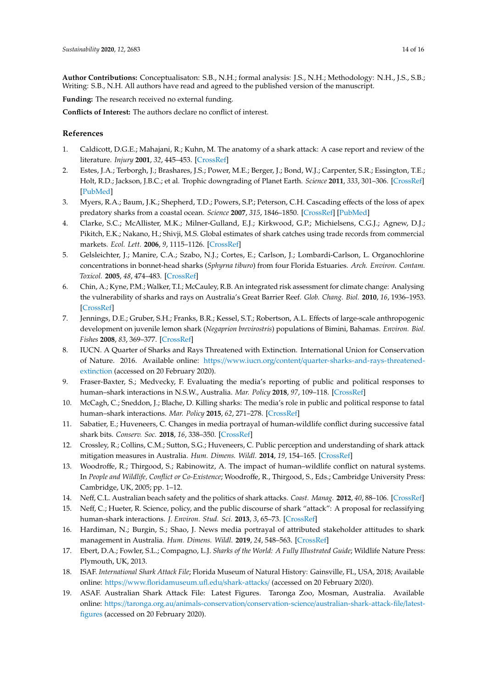**Author Contributions:** Conceptualisaton: S.B., N.H.; formal analysis: J.S., N.H.; Methodology: N.H., J.S., S.B.; Writing: S.B., N.H. All authors have read and agreed to the published version of the manuscript.

**Funding:** The research received no external funding.

**Conflicts of Interest:** The authors declare no conflict of interest.

# **References**

- <span id="page-13-0"></span>1. Caldicott, D.G.E.; Mahajani, R.; Kuhn, M. The anatomy of a shark attack: A case report and review of the literature. *Injury* **2001**, *32*, 445–453. [\[CrossRef\]](http://dx.doi.org/10.1016/S0020-1383(01)00041-9)
- <span id="page-13-1"></span>2. Estes, J.A.; Terborgh, J.; Brashares, J.S.; Power, M.E.; Berger, J.; Bond, W.J.; Carpenter, S.R.; Essington, T.E.; Holt, R.D.; Jackson, J.B.C.; et al. Trophic downgrading of Planet Earth. *Science* **2011**, *333*, 301–306. [\[CrossRef\]](http://dx.doi.org/10.1126/science.1205106) [\[PubMed\]](http://www.ncbi.nlm.nih.gov/pubmed/21764740)
- <span id="page-13-2"></span>3. Myers, R.A.; Baum, J.K.; Shepherd, T.D.; Powers, S.P.; Peterson, C.H. Cascading effects of the loss of apex predatory sharks from a coastal ocean. *Science* **2007**, *315*, 1846–1850. [\[CrossRef\]](http://dx.doi.org/10.1126/science.1138657) [\[PubMed\]](http://www.ncbi.nlm.nih.gov/pubmed/17395829)
- <span id="page-13-3"></span>4. Clarke, S.C.; McAllister, M.K.; Milner-Gulland, E.J.; Kirkwood, G.P.; Michielsens, C.G.J.; Agnew, D.J.; Pikitch, E.K.; Nakano, H.; Shivji, M.S. Global estimates of shark catches using trade records from commercial markets. *Ecol. Lett.* **2006**, *9*, 1115–1126. [\[CrossRef\]](http://dx.doi.org/10.1111/j.1461-0248.2006.00968.x)
- <span id="page-13-4"></span>5. Gelsleichter, J.; Manire, C.A.; Szabo, N.J.; Cortes, E.; Carlson, J.; Lombardi-Carlson, L. Organochlorine concentrations in bonnet-head sharks (*Sphyrna tiburo*) from four Florida Estuaries. *Arch. Environ. Contam. Toxicol.* **2005**, *48*, 474–483. [\[CrossRef\]](http://dx.doi.org/10.1007/s00244-003-0275-2)
- <span id="page-13-5"></span>6. Chin, A.; Kyne, P.M.; Walker, T.I.; McCauley, R.B. An integrated risk assessment for climate change: Analysing the vulnerability of sharks and rays on Australia's Great Barrier Reef. *Glob. Chang. Biol.* **2010**, *16*, 1936–1953. [\[CrossRef\]](http://dx.doi.org/10.1111/j.1365-2486.2009.02128.x)
- <span id="page-13-6"></span>7. Jennings, D.E.; Gruber, S.H.; Franks, B.R.; Kessel, S.T.; Robertson, A.L. Effects of large-scale anthropogenic development on juvenile lemon shark (*Negaprion brevirostris*) populations of Bimini, Bahamas. *Environ. Biol. Fishes* **2008**, *83*, 369–377. [\[CrossRef\]](http://dx.doi.org/10.1007/s10641-008-9357-3)
- <span id="page-13-7"></span>8. IUCN. A Quarter of Sharks and Rays Threatened with Extinction. International Union for Conservation of Nature. 2016. Available online: https://www.iucn.org/content/[quarter-sharks-and-rays-threatened](https://www.iucn.org/content/quarter-sharks-and-rays-threatened-extinction)[extinction](https://www.iucn.org/content/quarter-sharks-and-rays-threatened-extinction) (accessed on 20 February 2020).
- <span id="page-13-8"></span>9. Fraser-Baxter, S.; Medvecky, F. Evaluating the media's reporting of public and political responses to human–shark interactions in N.S.W., Australia. *Mar. Policy* **2018**, *97*, 109–118. [\[CrossRef\]](http://dx.doi.org/10.1016/j.marpol.2018.08.020)
- <span id="page-13-18"></span>10. McCagh, C.; Sneddon, J.; Blache, D. Killing sharks: The media's role in public and political response to fatal human–shark interactions. *Mar. Policy* **2015**, *62*, 271–278. [\[CrossRef\]](http://dx.doi.org/10.1016/j.marpol.2015.09.016)
- <span id="page-13-9"></span>11. Sabatier, E.; Huveneers, C. Changes in media portrayal of human-wildlife conflict during successive fatal shark bits. *Conserv. Soc.* **2018**, *16*, 338–350. [\[CrossRef\]](http://dx.doi.org/10.4103/cs.cs_18_5)
- <span id="page-13-10"></span>12. Crossley, R.; Collins, C.M.; Sutton, S.G.; Huveneers, C. Public perception and understanding of shark attack mitigation measures in Australia. *Hum. Dimens. Wildl.* **2014**, *19*, 154–165. [\[CrossRef\]](http://dx.doi.org/10.1080/10871209.2014.844289)
- <span id="page-13-11"></span>13. Woodroffe, R.; Thirgood, S.; Rabinowitz, A. The impact of human–wildlife conflict on natural systems. In *People and Wildlife, Conflict or Co-Existence*; Woodroffe, R., Thirgood, S., Eds.; Cambridge University Press: Cambridge, UK, 2005; pp. 1–12.
- <span id="page-13-12"></span>14. Neff, C.L. Australian beach safety and the politics of shark attacks. *Coast. Manag.* **2012**, *40*, 88–106. [\[CrossRef\]](http://dx.doi.org/10.1080/08920753.2011.639867)
- <span id="page-13-17"></span>15. Neff, C.; Hueter, R. Science, policy, and the public discourse of shark "attack": A proposal for reclassifying human-shark interactions. *J. Environ. Stud. Sci.* **2013**, *3*, 65–73. [\[CrossRef\]](http://dx.doi.org/10.1007/s13412-013-0107-2)
- <span id="page-13-13"></span>16. Hardiman, N.; Burgin, S.; Shao, J. News media portrayal of attributed stakeholder attitudes to shark management in Australia. *Hum. Dimens. Wildl.* **2019**, *24*, 548–563. [\[CrossRef\]](http://dx.doi.org/10.1080/10871209.2019.1663455)
- <span id="page-13-14"></span>17. Ebert, D.A.; Fowler, S.L.; Compagno, L.J. *Sharks of the World: A Fully Illustrated Guide*; Wildlife Nature Press: Plymouth, UK, 2013.
- <span id="page-13-15"></span>18. ISAF. *International Shark Attack File*; Florida Museum of Natural History: Gainsville, FL, USA, 2018; Available online: https://[www.floridamuseum.ufl.edu](https://www.floridamuseum.ufl.edu/shark-attacks/)/shark-attacks/ (accessed on 20 February 2020).
- <span id="page-13-16"></span>19. ASAF. Australian Shark Attack File: Latest Figures. Taronga Zoo, Mosman, Australia. Available online: https://taronga.org.au/animals-conservation/conservation-science/[australian-shark-attack-file](https://taronga.org.au/animals-conservation/conservation-science/australian-shark-attack-file/latest-figures)/latest[figures](https://taronga.org.au/animals-conservation/conservation-science/australian-shark-attack-file/latest-figures) (accessed on 20 February 2020).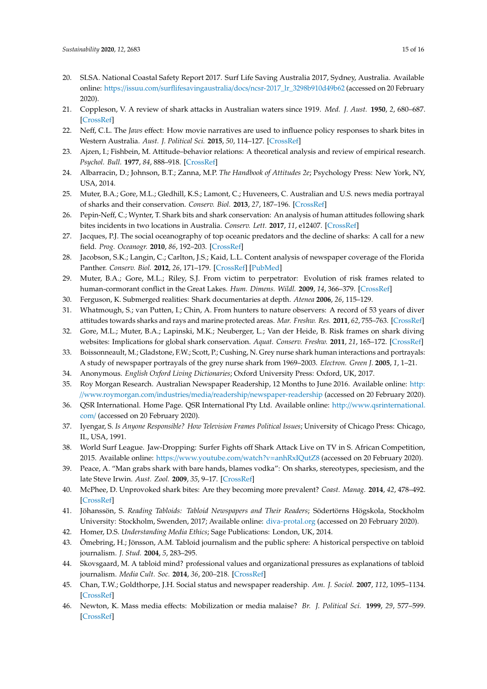- <span id="page-14-0"></span>20. SLSA. National Coastal Safety Report 2017. Surf Life Saving Australia 2017, Sydney, Australia. Available online: https://issuu.com/surflifesavingaustralia/docs/[ncsr-2017\\_lr\\_3298b910d49b62](https://issuu.com/surflifesavingaustralia/docs/ncsr-2017_lr_3298b910d49b62) (accessed on 20 February 2020).
- <span id="page-14-1"></span>21. Coppleson, V. A review of shark attacks in Australian waters since 1919. *Med. J. Aust.* **1950**, *2*, 680–687. [\[CrossRef\]](http://dx.doi.org/10.5694/j.1326-5377.1950.tb106830.x)
- <span id="page-14-2"></span>22. Neff, C.L. The *Jaws* effect: How movie narratives are used to influence policy responses to shark bites in Western Australia. *Aust. J. Political Sci.* **2015**, *50*, 114–127. [\[CrossRef\]](http://dx.doi.org/10.1080/10361146.2014.989385)
- <span id="page-14-3"></span>23. Ajzen, I.; Fishbein, M. Attitude–behavior relations: A theoretical analysis and review of empirical research. *Psychol. Bull.* **1977**, *84*, 888–918. [\[CrossRef\]](http://dx.doi.org/10.1037/0033-2909.84.5.888)
- <span id="page-14-4"></span>24. Albarracin, D.; Johnson, B.T.; Zanna, M.P. *The Handbook of Attitudes 2e*; Psychology Press: New York, NY, USA, 2014.
- <span id="page-14-12"></span>25. Muter, B.A.; Gore, M.L.; Gledhill, K.S.; Lamont, C.; Huveneers, C. Australian and U.S. news media portrayal of sharks and their conservation. *Conserv. Biol.* **2013**, *27*, 187–196. [\[CrossRef\]](http://dx.doi.org/10.1111/j.1523-1739.2012.01952.x)
- <span id="page-14-5"></span>26. Pepin-Neff, C.; Wynter, T. Shark bits and shark conservation: An analysis of human attitudes following shark bites incidents in two locations in Australia. *Conserv. Lett.* **2017**, *11*, e12407. [\[CrossRef\]](http://dx.doi.org/10.1111/conl.12407)
- <span id="page-14-6"></span>27. Jacques, P.J. The social oceanography of top oceanic predators and the decline of sharks: A call for a new field. *Prog. Oceanogr.* **2010**, *86*, 192–203. [\[CrossRef\]](http://dx.doi.org/10.1016/j.pocean.2010.04.001)
- <span id="page-14-16"></span>28. Jacobson, S.K.; Langin, C.; Carlton, J.S.; Kaid, L.L. Content analysis of newspaper coverage of the Florida Panther. *Conserv. Biol.* **2012**, *26*, 171–179. [\[CrossRef\]](http://dx.doi.org/10.1111/j.1523-1739.2011.01750.x) [\[PubMed\]](http://www.ncbi.nlm.nih.gov/pubmed/21978166)
- <span id="page-14-7"></span>29. Muter, B.A.; Gore, M.L.; Riley, S.J. From victim to perpetrator: Evolution of risk frames related to human-cormorant conflict in the Great Lakes. *Hum. Dimens. Wildl.* **2009**, *14*, 366–379. [\[CrossRef\]](http://dx.doi.org/10.1080/10871200903045210)
- <span id="page-14-8"></span>30. Ferguson, K. Submerged realities: Shark documentaries at depth. *Atenea* **2006**, *26*, 115–129.
- <span id="page-14-9"></span>31. Whatmough, S.; van Putten, I.; Chin, A. From hunters to nature observers: A record of 53 years of diver attitudes towards sharks and rays and marine protected areas. *Mar. Freshw. Res.* **2011**, *62*, 755–763. [\[CrossRef\]](http://dx.doi.org/10.1071/MF10142)
- <span id="page-14-10"></span>32. Gore, M.L.; Muter, B.A.; Lapinski, M.K.; Neuberger, L.; Van der Heide, B. Risk frames on shark diving websites: Implications for global shark conservation. *Aquat. Conserv. Freshw.* **2011**, *21*, 165–172. [\[CrossRef\]](http://dx.doi.org/10.1002/aqc.1171)
- <span id="page-14-11"></span>33. Boissonneault, M.; Gladstone, F.W.; Scott, P.; Cushing, N. Grey nurse shark human interactions and portrayals: A study of newspaper portrayals of the grey nurse shark from 1969–2003. *Electron. Green J.* **2005**, *1*, 1–21.
- <span id="page-14-14"></span><span id="page-14-13"></span>34. Anonymous. *English Oxford Living Dictionaries*; Oxford University Press: Oxford, UK, 2017.
- 35. Roy Morgan Research. Australian Newspaper Readership, 12 Months to June 2016. Available online: [http:](http://www.roymorgan.com/industries/media/readership/newspaper-readership) //www.roymorgan.com/industries/media/readership/[newspaper-readership](http://www.roymorgan.com/industries/media/readership/newspaper-readership) (accessed on 20 February 2020).
- <span id="page-14-15"></span>36. QSR International. Home Page. QSR International Pty Ltd. Available online: http://[www.qsrinternational.](http://www.qsrinternational.com/) [com](http://www.qsrinternational.com/)/ (accessed on 20 February 2020).
- <span id="page-14-17"></span>37. Iyengar, S. *Is Anyone Responsible? How Television Frames Political Issues*; University of Chicago Press: Chicago, IL, USA, 1991.
- <span id="page-14-18"></span>38. World Surf League. Jaw-Dropping: Surfer Fights off Shark Attack Live on TV in S. African Competition, 2015. Available online: https://[www.youtube.com](https://www.youtube.com/watch?v=anhRxIQutZ8)/watch?v=anhRxIQutZ8 (accessed on 20 February 2020).
- <span id="page-14-19"></span>39. Peace, A. "Man grabs shark with bare hands, blames vodka": On sharks, stereotypes, speciesism, and the late Steve Irwin. *Aust. Zool.* **2009**, *35*, 9–17. [\[CrossRef\]](http://dx.doi.org/10.7882/AZ.2009.002)
- <span id="page-14-20"></span>40. McPhee, D. Unprovoked shark bites: Are they becoming more prevalent? *Coast. Manag.* **2014**, *42*, 478–492. [\[CrossRef\]](http://dx.doi.org/10.1080/08920753.2014.942046)
- <span id="page-14-21"></span>41. Jöhanssön, S. *Reading Tabloids: Tabloid Newspapers and Their Readers*; Södertörns Högskola, Stockholm University: Stockholm, Swenden, 2017; Available online: <diva-protal.org> (accessed on 20 February 2020).
- <span id="page-14-22"></span>42. Homer, D.S. *Understanding Media Ethics*; Sage Publications: London, UK, 2014.
- 43. Ömebring, H.; Jönsson, A.M. Tabloid journalism and the public sphere: A historical perspective on tabloid journalism. *J. Stud.* **2004**, *5*, 283–295.
- <span id="page-14-23"></span>44. Skovsgaard, M. A tabloid mind? professional values and organizational pressures as explanations of tabloid journalism. *Media Cult. Soc.* **2014**, *36*, 200–218. [\[CrossRef\]](http://dx.doi.org/10.1177/0163443713515740)
- <span id="page-14-24"></span>45. Chan, T.W.; Goldthorpe, J.H. Social status and newspaper readership. *Am. J. Sociol.* **2007**, *112*, 1095–1134. [\[CrossRef\]](http://dx.doi.org/10.1086/508792)
- <span id="page-14-25"></span>46. Newton, K. Mass media effects: Mobilization or media malaise? *Br. J. Political Sci.* **1999**, *29*, 577–599. [\[CrossRef\]](http://dx.doi.org/10.1017/S0007123499000289)